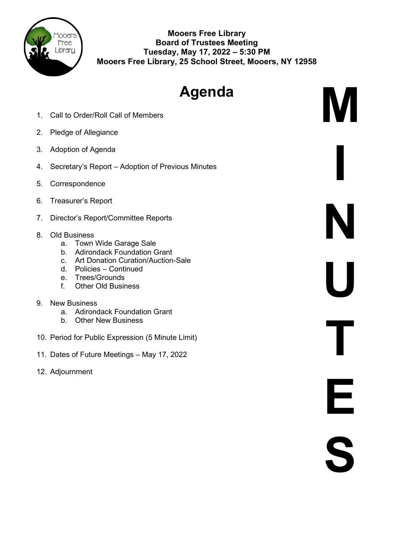

**Mooers Free Library Board of Trustees Meeting Tuesday, May 17, 2022 – 5:30 PM Mooers Free Library, 25 School Street, Mooers, NY 12958**

# **Agenda**

**M**

**I**

**N**

**U**

**T**

**E**

**S**

- 1. Call to Order/Roll Call of Members
- 2. Pledge of Allegiance
- 3. Adoption of Agenda
- 4. Secretary's Report Adoption of Previous Minutes
- 5. Correspondence
- 6. Treasurer's Report
- 7. Director's Report/Committee Reports
- 8. Old Business
	- a. Town Wide Garage Sale
	- b. Adirondack Foundation Grant
	- c. Art Donation Curation/Auction-Sale
	- d. Policies Continued
	- e. Trees/Grounds
	- f. Other Old Business
- 9. New Business
	- a. Adirondack Foundation Grant
	- b. Other New Business
- 10. Period for Public Expression (5 Minute Limit)
- 11. Dates of Future Meetings May 17, 2022
- 12. Adjournment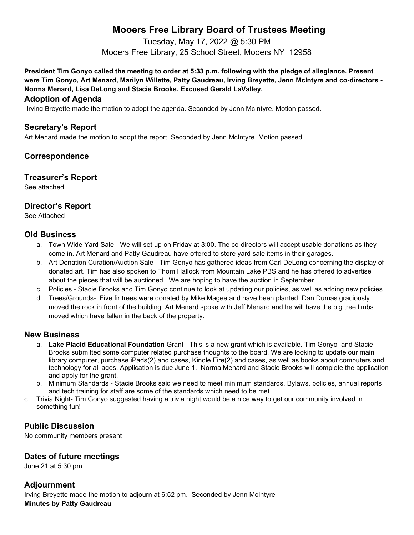# **Mooers Free Library Board of Trustees Meeting**

Tuesday, May 17, 2022 @ 5:30 PM Mooers Free Library, 25 School Street, Mooers NY 12958

**President Tim Gonyo called the meeting to order at 5:33 p.m. following with the pledge of allegiance. Present were Tim Gonyo, Art Menard, Marilyn Willette, Patty Gaudreau, Irving Breyette, Jenn McIntyre and co-directors - Norma Menard, Lisa DeLong and Stacie Brooks. Excused Gerald LaValley.** 

#### **Adoption of Agenda**

Irving Breyette made the motion to adopt the agenda. Seconded by Jenn McIntyre. Motion passed.

## **Secretary's Report**

Art Menard made the motion to adopt the report. Seconded by Jenn McIntyre. Motion passed.

## **Correspondence**

#### **Treasurer's Report**

See attached

## **Director's Report**

See Attached

#### **Old Business**

- a. Town Wide Yard Sale- We will set up on Friday at 3:00. The co-directors will accept usable donations as they come in. Art Menard and Patty Gaudreau have offered to store yard sale items in their garages.
- b. Art Donation Curation/Auction Sale Tim Gonyo has gathered ideas from Carl DeLong concerning the display of donated art. Tim has also spoken to Thom Hallock from Mountain Lake PBS and he has offered to advertise about the pieces that will be auctioned. We are hoping to have the auction in September.
- c. Policies Stacie Brooks and Tim Gonyo continue to look at updating our policies, as well as adding new policies.
- d. Trees/Grounds- Five fir trees were donated by Mike Magee and have been planted. Dan Dumas graciously moved the rock in front of the building. Art Menard spoke with Jeff Menard and he will have the big tree limbs moved which have fallen in the back of the property.

#### **New Business**

- a. **Lake Placid Educational Foundation** Grant This is a new grant which is available. Tim Gonyo and Stacie Brooks submitted some computer related purchase thoughts to the board. We are looking to update our main library computer, purchase iPads(2) and cases, Kindle Fire(2) and cases, as well as books about computers and technology for all ages. Application is due June 1. Norma Menard and Stacie Brooks will complete the application and apply for the grant.
- b. Minimum Standards Stacie Brooks said we need to meet minimum standards. Bylaws, policies, annual reports and tech training for staff are some of the standards which need to be met.
- c. Trivia Night- Tim Gonyo suggested having a trivia night would be a nice way to get our community involved in something fun!

## **Public Discussion**

No community members present

## **Dates of future meetings**

June 21 at 5:30 pm.

## **Adjournment**

Irving Breyette made the motion to adjourn at 6:52 pm. Seconded by Jenn McIntyre **Minutes by Patty Gaudreau**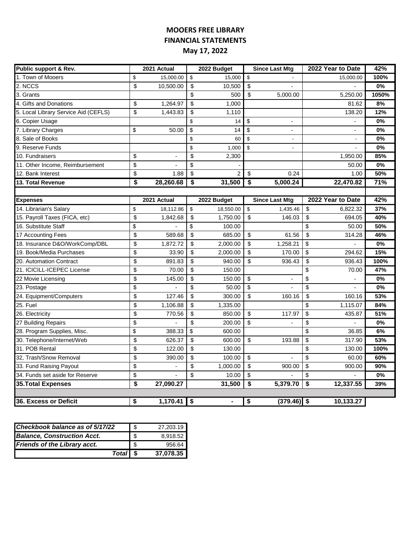## **MOOERS FREE LIBRARY FINANCIAL STATEMENTS May 17, 2022**

| Public support & Rev.                | 2021 Actual     |            | 2022 Budget    |                         | <b>Since Last Mtg</b>    | 2022 Year to Date        | 42%   |
|--------------------------------------|-----------------|------------|----------------|-------------------------|--------------------------|--------------------------|-------|
| 1. Town of Mooers                    | \$<br>15,000.00 | \$         | 15,000         | \$                      |                          | 15,000.00                | 100%  |
| 2. NCCS                              | \$<br>10,500.00 | \$         | 10,500         | \$                      |                          |                          | 0%    |
| 3. Grants                            |                 | \$         | 500            | \$                      | 5,000.00                 | 5,250.00                 | 1050% |
| 4. Gifts and Donations               | \$<br>1,264.97  | \$         | 1,000          |                         |                          | 81.62                    | 8%    |
| 5. Local Library Service Aid (CEFLS) | \$<br>1,443.83  | \$         | 1,110          |                         |                          | 138.20                   | 12%   |
| 6. Copier Usage                      |                 | \$         | 14             | \$                      | $\overline{\phantom{a}}$ |                          | $0\%$ |
| 7. Library Charges                   | \$<br>50.00     | \$         | 14             | \$                      | $\overline{\phantom{a}}$ | $\overline{\phantom{a}}$ | 0%    |
| 8. Sale of Books                     |                 | \$         | 60             | \$                      | $\overline{\phantom{a}}$ | $\overline{\phantom{a}}$ | 0%    |
| 9. Reserve Funds                     |                 | \$         | 1,000          | \$                      | $\blacksquare$           | $\overline{a}$           | 0%    |
| 10. Fundraisers                      | \$              | $\sqrt{2}$ | 2,300          |                         |                          | 1,950.00                 | 85%   |
| 11. Other Income, Reimbursement      | \$              | \$         |                |                         |                          | 50.00                    | 0%    |
| 12. Bank Interest                    | \$<br>1.88      | \$         | $\overline{2}$ | \$                      | 0.24                     | 1.00                     | 50%   |
| 13. Total Revenue                    | \$<br>28,260.68 | \$         | 31,500         | $\overline{\$}$         | 5,000.24                 | 22,470.82                | 71%   |
|                                      |                 |            |                |                         |                          |                          |       |
| <b>Expenses</b>                      | 2021 Actual     |            | 2022 Budget    |                         | <b>Since Last Mtg</b>    | 2022 Year to Date        | 42%   |
| 14. Librarian's Salary               | \$<br>18,112.86 | \$         | 18,550.00      | \$                      | 1,435.46                 | \$<br>6,822.32           | 37%   |
| 15. Payroll Taxes (FICA, etc)        | \$<br>1,842.68  | \$         | 1,750.00       | \$                      | 146.03                   | \$<br>694.05             | 40%   |
| 16. Substitute Staff                 | \$              | \$         | 100.00         |                         |                          | \$<br>50.00              | 50%   |
| 17 Accounting Fees                   | \$<br>589.68    | \$         | 685.00         | \$                      | 61.56                    | \$<br>314.28             | 46%   |
| 18. Insurance D&O/WorkComp/DBL       | \$<br>1,872.72  | \$         | 2,000.00       | \$                      | 1,258.21                 | \$                       | 0%    |
| 19. Book/Media Purchases             | \$<br>33.90     | \$         | 2,000.00       | \$                      | 170.00                   | \$<br>294.62             | 15%   |
| 20. Automation Contract              | \$<br>891.83    | \$         | 940.00         | $\overline{\mathbf{S}}$ | 936.43                   | \$<br>936.43             | 100%  |
| 21. ICICILL-ICEPEC License           | \$<br>70.00     | \$         | 150.00         |                         |                          | \$<br>70.00              | 47%   |
| 22 Movie Licensing                   | \$<br>145.00    | \$         | 150.00         | \$                      |                          | \$                       | 0%    |
| 23. Postage                          | \$              | \$         | 50.00          | \$                      |                          | \$                       | 0%    |
| 24. Equipment/Computers              | \$<br>127.46    | \$         | 300.00         | \$                      | 160.16                   | \$<br>160.16             | 53%   |
| 25. Fuel                             | \$<br>1,106.88  | \$         | 1,335.00       |                         |                          | \$<br>1,115.07           | 84%   |
| 26. Electricity                      | \$<br>770.56    | \$         | 850.00         | \$                      | 117.97                   | \$<br>435.87             | 51%   |
| 27 Building Repairs                  | \$              | \$         | 200.00         | \$                      |                          | \$                       | 0%    |
| 28. Program Supplies, Misc.          | \$<br>388.33    | \$         | 600.00         |                         |                          | \$<br>36.85              | 6%    |
| 30. Telephone/Internet/Web           | \$<br>626.37    | \$         | 600.00         | \$                      | 193.88                   | \$<br>317.90             | 53%   |
| 31. POB Rental                       | \$<br>122.00    | \$         | 130.00         |                         |                          | \$<br>130.00             | 100%  |
| 32, Trash/Snow Removal               | \$<br>390.00    | \$         | 100.00         | \$                      |                          | \$<br>60.00              | 60%   |
| 33. Fund Raising Payout              | \$              | \$         | 1,000.00       | \$                      | 900.00                   | \$<br>900.00             | 90%   |
| 34. Funds set aside for Reserve      | \$              | \$         | 10.00          | \$                      |                          | \$                       | 0%    |
| 35. Total Expenses                   | \$<br>27,090.27 |            | 31,500         | \$                      | 5,379.70                 | \$<br>12,337.55          | 39%   |
|                                      |                 |            |                |                         |                          |                          |       |
| 36. Excess or Deficit                | \$<br>1,170.41  | \$         | ٠              | \$                      | $(379.46)$ \$            | 10,133.27                |       |

| Checkbook balance as of 5/17/22    | \$  | 27,203.19 |
|------------------------------------|-----|-----------|
| <b>Balance, Construction Acct.</b> | -\$ | 8,918.52  |
| Friends of the Library acct.       | -\$ | 956.64    |
| Total   \$                         |     | 37.078.35 |